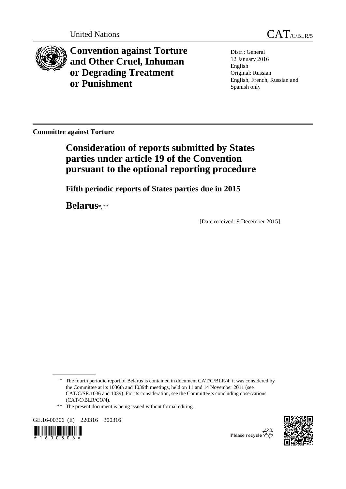



**Convention against Torture and Other Cruel, Inhuman or Degrading Treatment or Punishment**

Distr.: General 12 January 2016 English Original: Russian English, French, Russian and Spanish only

**Committee against Torture**

# **Consideration of reports submitted by States parties under article 19 of the Convention pursuant to the optional reporting procedure**

**Fifth periodic reports of States parties due in 2015**

**Belarus**\*,\*\*

[Date received: 9 December 2015]

GE.16-00306 (E) 220316 300316





Please recycle  $\mathbb{Z}$ 

<sup>\*</sup> The fourth periodic report of Belarus is contained in document CAT/C/BLR/4; it was considered by the Committee at its 1036th and 1039th meetings, held on 11 and 14 November 2011 (see CAT/C/SR.1036 and 1039). For its consideration, see the Committee's concluding observations (CAT/C/BLR/CO/4).

<sup>\*\*</sup> The present document is being issued without formal editing.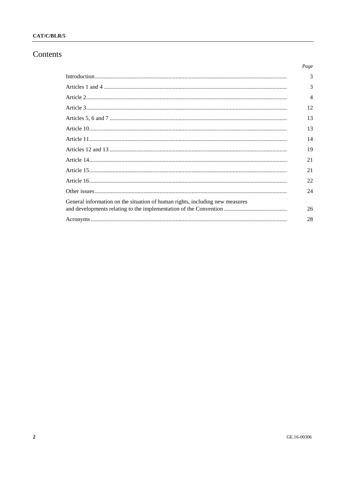### CAT/C/BLR/5

### Contents

|                                                                              | Page                     |
|------------------------------------------------------------------------------|--------------------------|
|                                                                              | 3                        |
|                                                                              | 3                        |
|                                                                              | $\overline{\mathcal{A}}$ |
|                                                                              | 12                       |
|                                                                              | 13                       |
|                                                                              | 13                       |
|                                                                              | 14                       |
|                                                                              | 19                       |
|                                                                              | 21                       |
|                                                                              | 21                       |
|                                                                              | 22                       |
|                                                                              | 24                       |
| General information on the situation of human rights, including new measures |                          |
|                                                                              | 26                       |
|                                                                              | 28                       |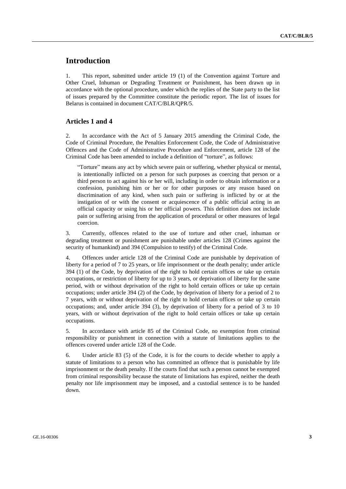### **Introduction**

1. This report, submitted under article 19 (1) of the Convention against Torture and Other Cruel, Inhuman or Degrading Treatment or Punishment, has been drawn up in accordance with the optional procedure, under which the replies of the State party to the list of issues prepared by the Committee constitute the periodic report. The list of issues for Belarus is contained in document CAT/C/BLR/QPR/5.

#### **Articles 1 and 4**

2. In accordance with the Act of 5 January 2015 amending the Criminal Code, the Code of Criminal Procedure, the Penalties Enforcement Code, the Code of Administrative Offences and the Code of Administrative Procedure and Enforcement, article 128 of the Criminal Code has been amended to include a definition of "torture", as follows:

"Torture" means any act by which severe pain or suffering, whether physical or mental, is intentionally inflicted on a person for such purposes as coercing that person or a third person to act against his or her will, including in order to obtain information or a confession, punishing him or her or for other purposes or any reason based on discrimination of any kind, when such pain or suffering is inflicted by or at the instigation of or with the consent or acquiescence of a public official acting in an official capacity or using his or her official powers. This definition does not include pain or suffering arising from the application of procedural or other measures of legal coercion.

3. Currently, offences related to the use of torture and other cruel, inhuman or degrading treatment or punishment are punishable under articles 128 (Crimes against the security of humankind) and 394 (Compulsion to testify) of the Criminal Code.

4. Offences under article 128 of the Criminal Code are punishable by deprivation of liberty for a period of 7 to 25 years, or life imprisonment or the death penalty; under article 394 (1) of the Code, by deprivation of the right to hold certain offices or take up certain occupations, or restriction of liberty for up to 3 years, or deprivation of liberty for the same period, with or without deprivation of the right to hold certain offices or take up certain occupations; under article 394 (2) of the Code, by deprivation of liberty for a period of 2 to 7 years, with or without deprivation of the right to hold certain offices or take up certain occupations; and, under article 394 (3), by deprivation of liberty for a period of 3 to 10 years, with or without deprivation of the right to hold certain offices or take up certain occupations.

5. In accordance with article 85 of the Criminal Code, no exemption from criminal responsibility or punishment in connection with a statute of limitations applies to the offences covered under article 128 of the Code.

6. Under article 83 (5) of the Code, it is for the courts to decide whether to apply a statute of limitations to a person who has committed an offence that is punishable by life imprisonment or the death penalty. If the courts find that such a person cannot be exempted from criminal responsibility because the statute of limitations has expired, neither the death penalty nor life imprisonment may be imposed, and a custodial sentence is to be handed down.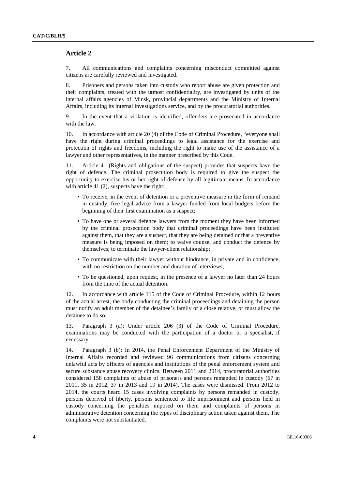### **Article 2**

7. All communications and complaints concerning misconduct committed against citizens are carefully reviewed and investigated.

8. Prisoners and persons taken into custody who report abuse are given protection and their complaints, treated with the utmost confidentiality, are investigated by units of the internal affairs agencies of Minsk, provincial departments and the Ministry of Internal Affairs, including its internal investigations service, and by the procuratorial authorities.

9. In the event that a violation is identified, offenders are prosecuted in accordance with the law.

10. In accordance with article 20 (4) of the Code of Criminal Procedure, "everyone shall have the right during criminal proceedings to legal assistance for the exercise and protection of rights and freedoms, including the right to make use of the assistance of a lawyer and other representatives, in the manner prescribed by this Code.

11. Article 41 (Rights and obligations of the suspect) provides that suspects have the right of defence. The criminal prosecution body is required to give the suspect the opportunity to exercise his or her right of defence by all legitimate means. In accordance with article 41 (2), suspects have the right:

- To receive, in the event of detention or a preventive measure in the form of remand in custody, free legal advice from a lawyer funded from local budgets before the beginning of their first examination as a suspect;
- To have one or several defence lawyers from the moment they have been informed by the criminal prosecution body that criminal proceedings have been instituted against them, that they are a suspect, that they are being detained or that a preventive measure is being imposed on them; to waive counsel and conduct the defence by themselves; to terminate the lawyer-client relationship;
- To communicate with their lawyer without hindrance, in private and in confidence, with no restriction on the number and duration of interviews;
- To be questioned, upon request, in the presence of a lawyer no later than 24 hours from the time of the actual detention.

12. In accordance with article 115 of the Code of Criminal Procedure, within 12 hours of the actual arrest, the body conducting the criminal proceedings and detaining the person must notify an adult member of the detainee's family or a close relative, or must allow the detainee to do so.

13. Paragraph 3 (a): Under article 206 (3) of the Code of Criminal Procedure, examinations may be conducted with the participation of a doctor or a specialist, if necessary.

14. Paragraph 3 (b): In 2014, the Penal Enforcement Department of the Ministry of Internal Affairs recorded and reviewed 96 communications from citizens concerning unlawful acts by officers of agencies and institutions of the penal enforcement system and secure substance abuse recovery clinics. Between 2011 and 2014, procuratorial authorities considered 158 complaints of abuse of prisoners and persons remanded in custody (67 in 2011, 35 in 2012, 37 in 2013 and 19 in 2014). The cases were dismissed. From 2012 to 2014, the courts heard 15 cases involving complaints by persons remanded in custody, persons deprived of liberty, persons sentenced to life imprisonment and persons held in custody concerning the penalties imposed on them and complaints of persons in administrative detention concerning the types of disciplinary action taken against them. The complaints were not substantiated.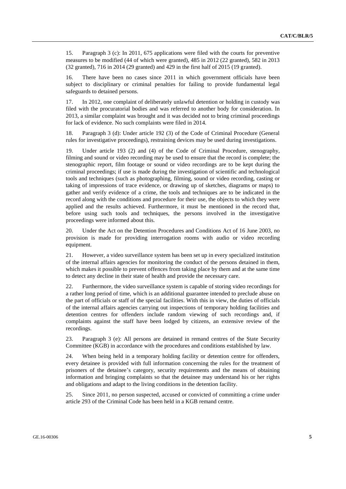15. Paragraph 3 (c): In 2011, 675 applications were filed with the courts for preventive measures to be modified (44 of which were granted), 485 in 2012 (22 granted), 582 in 2013 (32 granted), 716 in 2014 (29 granted) and 429 in the first half of 2015 (19 granted).

16. There have been no cases since 2011 in which government officials have been subject to disciplinary or criminal penalties for failing to provide fundamental legal safeguards to detained persons.

17. In 2012, one complaint of deliberately unlawful detention or holding in custody was filed with the procuratorial bodies and was referred to another body for consideration. In 2013, a similar complaint was brought and it was decided not to bring criminal proceedings for lack of evidence. No such complaints were filed in 2014.

18. Paragraph 3 (d): Under article 192 (3) of the Code of Criminal Procedure (General rules for investigative proceedings), restraining devices may be used during investigations.

19. Under article 193 (2) and (4) of the Code of Criminal Procedure, stenography, filming and sound or video recording may be used to ensure that the record is complete; the stenographic report, film footage or sound or video recordings are to be kept during the criminal proceedings; if use is made during the investigation of scientific and technological tools and techniques (such as photographing, filming, sound or video recording, casting or taking of impressions of trace evidence, or drawing up of sketches, diagrams or maps) to gather and verify evidence of a crime, the tools and techniques are to be indicated in the record along with the conditions and procedure for their use, the objects to which they were applied and the results achieved. Furthermore, it must be mentioned in the record that, before using such tools and techniques, the persons involved in the investigative proceedings were informed about this.

20. Under the Act on the Detention Procedures and Conditions Act of 16 June 2003, no provision is made for providing interrogation rooms with audio or video recording equipment.

21. However, a video surveillance system has been set up in every specialized institution of the internal affairs agencies for monitoring the conduct of the persons detained in them, which makes it possible to prevent offences from taking place by them and at the same time to detect any decline in their state of health and provide the necessary care.

22. Furthermore, the video surveillance system is capable of storing video recordings for a rather long period of time, which is an additional guarantee intended to preclude abuse on the part of officials or staff of the special facilities. With this in view, the duties of officials of the internal affairs agencies carrying out inspections of temporary holding facilities and detention centres for offenders include random viewing of such recordings and, if complaints against the staff have been lodged by citizens, an extensive review of the recordings.

23. Paragraph 3 (e): All persons are detained in remand centres of the State Security Committee (KGB) in accordance with the procedures and conditions established by law.

24. When being held in a temporary holding facility or detention centre for offenders, every detainee is provided with full information concerning the rules for the treatment of prisoners of the detainee's category, security requirements and the means of obtaining information and bringing complaints so that the detainee may understand his or her rights and obligations and adapt to the living conditions in the detention facility.

25. Since 2011, no person suspected, accused or convicted of committing a crime under article 293 of the Criminal Code has been held in a KGB remand centre.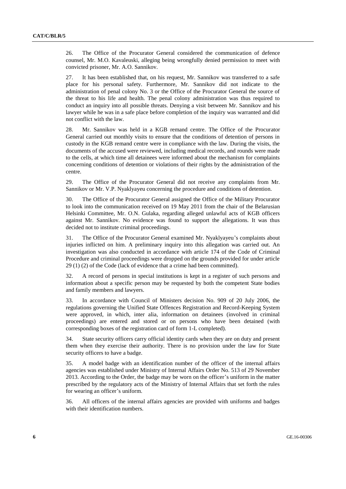26. The Office of the Procurator General considered the communication of defence counsel, Mr. M.O. Kavaleuski, alleging being wrongfully denied permission to meet with convicted prisoner, Mr. A.O. Sannikov.

27. It has been established that, on his request, Mr. Sannikov was transferred to a safe place for his personal safety. Furthermore, Mr. Sannikov did not indicate to the administration of penal colony No. 3 or the Office of the Procurator General the source of the threat to his life and health. The penal colony administration was thus required to conduct an inquiry into all possible threats. Denying a visit between Mr. Sannikov and his lawyer while he was in a safe place before completion of the inquiry was warranted and did not conflict with the law.

28. Mr. Sannikov was held in a KGB remand centre. The Office of the Procurator General carried out monthly visits to ensure that the conditions of detention of persons in custody in the KGB remand centre were in compliance with the law. During the visits, the documents of the accused were reviewed, including medical records, and rounds were made to the cells, at which time all detainees were informed about the mechanism for complaints concerning conditions of detention or violations of their rights by the administration of the centre.

29. The Office of the Procurator General did not receive any complaints from Mr. Sannikov or Mr. V.P. Nyaklyayeu concerning the procedure and conditions of detention.

30. The Office of the Procurator General assigned the Office of the Military Procurator to look into the communication received on 19 May 2011 from the chair of the Belarusian Helsinki Committee, Mr. O.N. Gulaka, regarding alleged unlawful acts of KGB officers against Mr. Sannikov. No evidence was found to support the allegations. It was thus decided not to institute criminal proceedings.

31. The Office of the Procurator General examined Mr. Nyaklyayeu's complaints about injuries inflicted on him. A preliminary inquiry into this allegation was carried out. An investigation was also conducted in accordance with article 174 of the Code of Criminal Procedure and criminal proceedings were dropped on the grounds provided for under article 29 (1) (2) of the Code (lack of evidence that a crime had been committed).

32. A record of persons in special institutions is kept in a register of such persons and information about a specific person may be requested by both the competent State bodies and family members and lawyers.

33. In accordance with Council of Ministers decision No. 909 of 20 July 2006, the regulations governing the Unified State Offences Registration and Record-Keeping System were approved, in which, inter alia, information on detainees (involved in criminal proceedings) are entered and stored or on persons who have been detained (with corresponding boxes of the registration card of form 1-L completed).

34. State security officers carry official identity cards when they are on duty and present them when they exercise their authority. There is no provision under the law for State security officers to have a badge.

35. A model badge with an identification number of the officer of the internal affairs agencies was established under Ministry of Internal Affairs Order No. 513 of 29 November 2013. According to the Order, the badge may be worn on the officer's uniform in the matter prescribed by the regulatory acts of the Ministry of Internal Affairs that set forth the rules for wearing an officer's uniform.

36. All officers of the internal affairs agencies are provided with uniforms and badges with their identification numbers.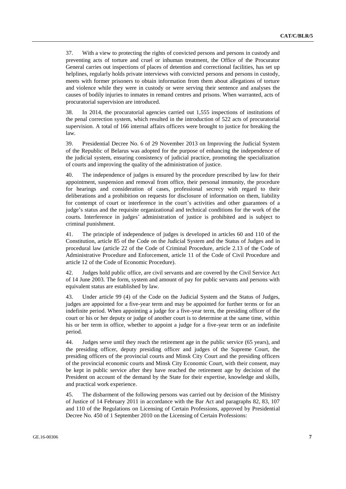37. With a view to protecting the rights of convicted persons and persons in custody and preventing acts of torture and cruel or inhuman treatment, the Office of the Procurator General carries out inspections of places of detention and correctional facilities, has set up helplines, regularly holds private interviews with convicted persons and persons in custody, meets with former prisoners to obtain information from them about allegations of torture and violence while they were in custody or were serving their sentence and analyses the causes of bodily injuries to inmates in remand centres and prisons. When warranted, acts of procuratorial supervision are introduced.

38. In 2014, the procuratorial agencies carried out 1,555 inspections of institutions of the penal correction system, which resulted in the introduction of 522 acts of procuratorial supervision. A total of 166 internal affairs officers were brought to justice for breaking the law.

39. Presidential Decree No. 6 of 29 November 2013 on Improving the Judicial System of the Republic of Belarus was adopted for the purpose of enhancing the independence of the judicial system, ensuring consistency of judicial practice, promoting the specialization of courts and improving the quality of the administration of justice.

40. The independence of judges is ensured by the procedure prescribed by law for their appointment, suspension and removal from office, their personal immunity, the procedure for hearings and consideration of cases, professional secrecy with regard to their deliberations and a prohibition on requests for disclosure of information on them, liability for contempt of court or interference in the court's activities and other guarantees of a judge's status and the requisite organizational and technical conditions for the work of the courts. Interference in judges' administration of justice is prohibited and is subject to criminal punishment.

41. The principle of independence of judges is developed in articles 60 and 110 of the Constitution, article 85 of the Code on the Judicial System and the Status of Judges and in procedural law (article 22 of the Code of Criminal Procedure, article 2.13 of the Code of Administrative Procedure and Enforcement, article 11 of the Code of Civil Procedure and article 12 of the Code of Economic Procedure).

42. Judges hold public office, are civil servants and are covered by the Civil Service Act of 14 June 2003. The form, system and amount of pay for public servants and persons with equivalent status are established by law.

43. Under article 99 (4) of the Code on the Judicial System and the Status of Judges, judges are appointed for a five-year term and may be appointed for further terms or for an indefinite period. When appointing a judge for a five-year term, the presiding officer of the court or his or her deputy or judge of another court is to determine at the same time, within his or her term in office, whether to appoint a judge for a five-year term or an indefinite period.

44. Judges serve until they reach the retirement age in the public service (65 years), and the presiding officer, deputy presiding officer and judges of the Supreme Court, the presiding officers of the provincial courts and Minsk City Court and the presiding officers of the provincial economic courts and Minsk City Economic Court, with their consent, may be kept in public service after they have reached the retirement age by decision of the President on account of the demand by the State for their expertise, knowledge and skills, and practical work experience.

45. The disbarment of the following persons was carried out by decision of the Ministry of Justice of 14 February 2011 in accordance with the Bar Act and paragraphs 82, 83, 107 and 110 of the Regulations on Licensing of Certain Professions, approved by Presidential Decree No. 450 of 1 September 2010 on the Licensing of Certain Professions: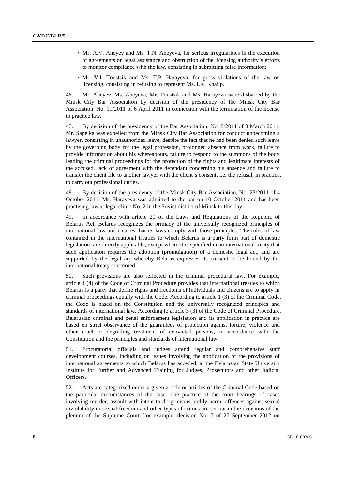- Mr. A.V. Aheyev and Ms. T.N. Aheyeva, for serious irregularities in the execution of agreements on legal assistance and obstruction of the licensing authority's efforts to monitor compliance with the law, consisting in submitting false information;
- Mr. V.I. Toustsik and Ms. T.P. Harayeva, for gross violations of the law on licensing, consisting in refusing to represent Ms. I.K. Khalip.

46. Mr. Aheyev, Ms. Aheyeva, Mr. Toustsik and Ms. Harayeva were disbarred by the Minsk City Bar Association by decision of the presidency of the Minsk City Bar Association, No. 11/2011 of 6 April 2011 in connection with the termination of the license to practice law.

47. By decision of the presidency of the Bar Association, No. 8/2011 of 3 March 2011, Mr. Sapelka was expelled from the Minsk City Bar Association for conduct unbecoming a lawyer, consisting in unauthorized leave, despite the fact that he had been denied such leave by the governing body for the legal profession, prolonged absence from work, failure to provide information about his whereabouts, failure to respond to the summons of the body leading the criminal proceedings for the protection of the rights and legitimate interests of the accused, lack of agreement with the defendant concerning his absence and failure to transfer the client file to another lawyer with the client's consent, i.e. the refusal, in practice, to carry out professional duties.

48. By decision of the presidency of the Minsk City Bar Association, No. 23/2011 of 4 October 2011, Ms. Harayeva was admitted to the bar on 10 October 2011 and has been practising law at legal clinic No. 2 in the Soviet district of Minsk to this day.

49. In accordance with article 20 of the Laws and Regulations of the Republic of Belarus Act, Belarus recognizes the primacy of the universally recognized principles of international law and ensures that its laws comply with those principles. The rules of law contained in the international treaties to which Belarus is a party form part of domestic legislation; are directly applicable, except where it is specified in an international treaty that such application requires the adoption (promulgation) of a domestic legal act; and are supported by the legal act whereby Belarus expresses its consent to be bound by the international treaty concerned.

50. Such provisions are also reflected in the criminal procedural law. For example, article 1 (4) of the Code of Criminal Procedure provides that international treaties to which Belarus is a party that define rights and freedoms of individuals and citizens are to apply in criminal proceedings equally with the Code. According to article 1 (3) of the Criminal Code, the Code is based on the Constitution and the universally recognized principles and standards of international law. According to article 3 (3) of the Code of Criminal Procedure, Belarusian criminal and penal enforcement legislation and its application in practice are based on strict observance of the guarantees of protection against torture, violence and other cruel or degrading treatment of convicted persons, in accordance with the Constitution and the principles and standards of international law.

51. Procuratorial officials and judges attend regular and comprehensive staff development courses, including on issues involving the application of the provisions of international agreements to which Belarus has acceded, at the Belarusian State University Institute for Further and Advanced Training for Judges, Prosecutors and other Judicial Officers.

52. Acts are categorized under a given article or articles of the Criminal Code based on the particular circumstances of the case. The practice of the court hearings of cases involving murder, assault with intent to do grievous bodily harm, offences against sexual inviolability or sexual freedom and other types of crimes are set out in the decisions of the plenum of the Supreme Court (for example, decision No. 7 of 27 September 2012 on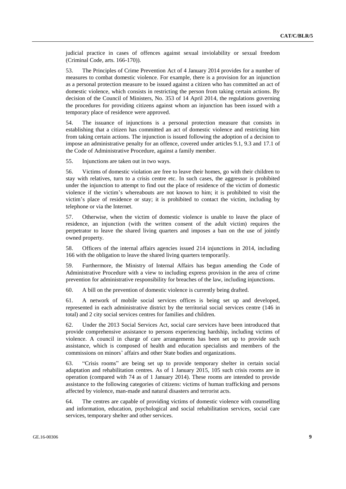judicial practice in cases of offences against sexual inviolability or sexual freedom (Criminal Code, arts. 166-170)).

53. The Principles of Crime Prevention Act of 4 January 2014 provides for a number of measures to combat domestic violence. For example, there is a provision for an injunction as a personal protection measure to be issued against a citizen who has committed an act of domestic violence, which consists in restricting the person from taking certain actions. By decision of the Council of Ministers, No. 353 of 14 April 2014, the regulations governing the procedures for providing citizens against whom an injunction has been issued with a temporary place of residence were approved.

54. The issuance of injunctions is a personal protection measure that consists in establishing that a citizen has committed an act of domestic violence and restricting him from taking certain actions. The injunction is issued following the adoption of a decision to impose an administrative penalty for an offence, covered under articles 9.1, 9.3 and 17.1 of the Code of Administrative Procedure, against a family member.

55. Injunctions are taken out in two ways.

56. Victims of domestic violation are free to leave their homes, go with their children to stay with relatives, turn to a crisis centre etc. In such cases, the aggressor is prohibited under the injunction to attempt to find out the place of residence of the victim of domestic violence if the victim's whereabouts are not known to him; it is prohibited to visit the victim's place of residence or stay; it is prohibited to contact the victim, including by telephone or via the Internet.

57. Otherwise, when the victim of domestic violence is unable to leave the place of residence, an injunction (with the written consent of the adult victim) requires the perpetrator to leave the shared living quarters and imposes a ban on the use of jointly owned property.

58. Officers of the internal affairs agencies issued 214 injunctions in 2014, including 166 with the obligation to leave the shared living quarters temporarily.

59. Furthermore, the Ministry of Internal Affairs has begun amending the Code of Administrative Procedure with a view to including express provision in the area of crime prevention for administrative responsibility for breaches of the law, including injunctions.

60. A bill on the prevention of domestic violence is currently being drafted.

61. A network of mobile social services offices is being set up and developed, represented in each administrative district by the territorial social services centre (146 in total) and 2 city social services centres for families and children.

62. Under the 2013 Social Services Act, social care services have been introduced that provide comprehensive assistance to persons experiencing hardship, including victims of violence. A council in charge of care arrangements has been set up to provide such assistance, which is composed of health and education specialists and members of the commissions on minors' affairs and other State bodies and organizations.

63. "Crisis rooms" are being set up to provide temporary shelter in certain social adaptation and rehabilitation centres. As of 1 January 2015, 105 such crisis rooms are in operation (compared with 74 as of 1 January 2014). These rooms are intended to provide assistance to the following categories of citizens: victims of human trafficking and persons affected by violence, man-made and natural disasters and terrorist acts.

64. The centres are capable of providing victims of domestic violence with counselling and information, education, psychological and social rehabilitation services, social care services, temporary shelter and other services.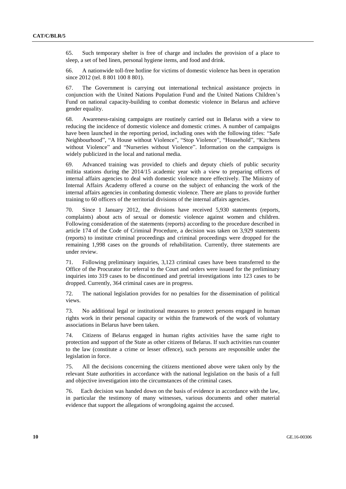65. Such temporary shelter is free of charge and includes the provision of a place to sleep, a set of bed linen, personal hygiene items, and food and drink.

66. A nationwide toll-free hotline for victims of domestic violence has been in operation since 2012 (tel. 8 801 100 8 801).

67. The Government is carrying out international technical assistance projects in conjunction with the United Nations Population Fund and the United Nations Children's Fund on national capacity-building to combat domestic violence in Belarus and achieve gender equality.

68. Awareness-raising campaigns are routinely carried out in Belarus with a view to reducing the incidence of domestic violence and domestic crimes. A number of campaigns have been launched in the reporting period, including ones with the following titles: "Safe Neighbourhood", "A House without Violence", "Stop Violence", "Household", "Kitchens without Violence" and "Nurseries without Violence". Information on the campaigns is widely publicized in the local and national media.

69. Advanced training was provided to chiefs and deputy chiefs of public security militia stations during the 2014/15 academic year with a view to preparing officers of internal affairs agencies to deal with domestic violence more effectively. The Ministry of Internal Affairs Academy offered a course on the subject of enhancing the work of the internal affairs agencies in combating domestic violence. There are plans to provide further training to 60 officers of the territorial divisions of the internal affairs agencies.

70. Since 1 January 2012, the divisions have received 5,930 statements (reports, complaints) about acts of sexual or domestic violence against women and children. Following consideration of the statements (reports) according to the procedure described in article 174 of the Code of Criminal Procedure, a decision was taken on 3,929 statements (reports) to institute criminal proceedings and criminal proceedings were dropped for the remaining 1,998 cases on the grounds of rehabilitation. Currently, three statements are under review.

71. Following preliminary inquiries, 3,123 criminal cases have been transferred to the Office of the Procurator for referral to the Court and orders were issued for the preliminary inquiries into 319 cases to be discontinued and pretrial investigations into 123 cases to be dropped. Currently, 364 criminal cases are in progress.

72. The national legislation provides for no penalties for the dissemination of political views.

73. No additional legal or institutional measures to protect persons engaged in human rights work in their personal capacity or within the framework of the work of voluntary associations in Belarus have been taken.

74. Citizens of Belarus engaged in human rights activities have the same right to protection and support of the State as other citizens of Belarus. If such activities run counter to the law (constitute a crime or lesser offence), such persons are responsible under the legislation in force.

75. All the decisions concerning the citizens mentioned above were taken only by the relevant State authorities in accordance with the national legislation on the basis of a full and objective investigation into the circumstances of the criminal cases.

76. Each decision was handed down on the basis of evidence in accordance with the law, in particular the testimony of many witnesses, various documents and other material evidence that support the allegations of wrongdoing against the accused.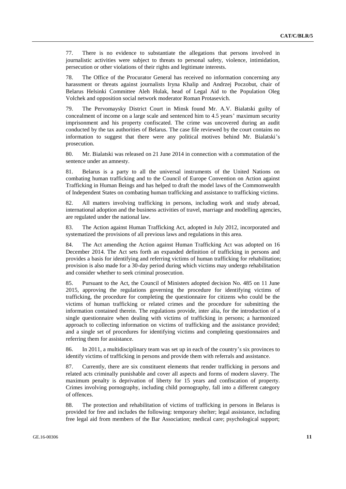77. There is no evidence to substantiate the allegations that persons involved in journalistic activities were subject to threats to personal safety, violence, intimidation, persecution or other violations of their rights and legitimate interests.

78. The Office of the Procurator General has received no information concerning any harassment or threats against journalists Iryna Khalip and Andrzej Poczobut, chair of Belarus Helsinki Committee Aleh Hulak, head of Legal Aid to the Population Oleg Volchek and opposition social network moderator Roman Protasevich.

79. The Pervomaysky District Court in Minsk found Mr. A.V. Bialatski guilty of concealment of income on a large scale and sentenced him to 4.5 years' maximum security imprisonment and his property confiscated. The crime was uncovered during an audit conducted by the tax authorities of Belarus. The case file reviewed by the court contains no information to suggest that there were any political motives behind Mr. Bialatski's prosecution.

80. Mr. Bialatski was released on 21 June 2014 in connection with a commutation of the sentence under an amnesty.

81. Belarus is a party to all the universal instruments of the United Nations on combating human trafficking and to the Council of Europe Convention on Action against Trafficking in Human Beings and has helped to draft the model laws of the Commonwealth of Independent States on combating human trafficking and assistance to trafficking victims.

82. All matters involving trafficking in persons, including work and study abroad, international adoption and the business activities of travel, marriage and modelling agencies, are regulated under the national law.

83. The Action against Human Trafficking Act, adopted in July 2012, incorporated and systematized the provisions of all previous laws and regulations in this area.

84. The Act amending the Action against Human Trafficking Act was adopted on 16 December 2014. The Act sets forth an expanded definition of trafficking in persons and provides a basis for identifying and referring victims of human trafficking for rehabilitation; provision is also made for a 30-day period during which victims may undergo rehabilitation and consider whether to seek criminal prosecution.

85. Pursuant to the Act, the Council of Ministers adopted decision No. 485 on 11 June 2015, approving the regulations governing the procedure for identifying victims of trafficking, the procedure for completing the questionnaire for citizens who could be the victims of human trafficking or related crimes and the procedure for submitting the information contained therein. The regulations provide, inter alia, for the introduction of a single questionnaire when dealing with victims of trafficking in persons; a harmonized approach to collecting information on victims of trafficking and the assistance provided; and a single set of procedures for identifying victims and completing questionnaires and referring them for assistance.

86. In 2011, a multidisciplinary team was set up in each of the country's six provinces to identify victims of trafficking in persons and provide them with referrals and assistance.

87. Currently, there are six constituent elements that render trafficking in persons and related acts criminally punishable and cover all aspects and forms of modern slavery. The maximum penalty is deprivation of liberty for 15 years and confiscation of property. Crimes involving pornography, including child pornography, fall into a different category of offences.

88. The protection and rehabilitation of victims of trafficking in persons in Belarus is provided for free and includes the following: temporary shelter; legal assistance, including free legal aid from members of the Bar Association; medical care; psychological support;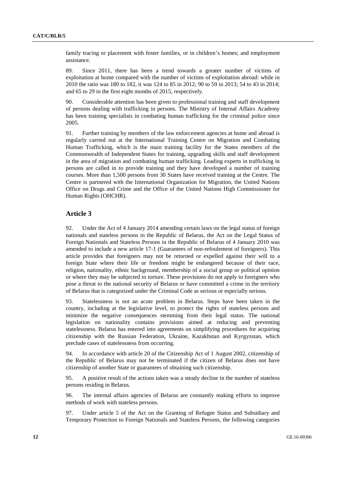family tracing or placement with foster families, or in children's homes; and employment assistance.

89. Since 2011, there has been a trend towards a greater number of victims of exploitation at home compared with the number of victims of exploitation abroad: while in 2010 the ratio was 180 to 182, it was 124 to 85 in 2012; 90 to 59 in 2013; 54 to 43 in 2014; and 65 to 29 in the first eight months of 2015, respectively.

90. Considerable attention has been given to professional training and staff development of persons dealing with trafficking in persons. The Ministry of Internal Affairs Academy has been training specialists in combating human trafficking for the criminal police since 2005.

91. Further training by members of the law enforcement agencies at home and abroad is regularly carried out at the International Training Centre on Migration and Combating Human Trafficking, which is the main training facility for the States members of the Commonwealth of Independent States for training, upgrading skills and staff development in the area of migration and combating human trafficking. Leading experts in trafficking in persons are called in to provide training and they have developed a number of training courses. More than 1,500 persons from 30 States have received training at the Centre. The Centre is partnered with the International Organization for Migration, the United Nations Office on Drugs and Crime and the Office of the United Nations High Commissioner for Human Rights (OHCHR).

#### **Article 3**

92. Under the Act of 4 January 2014 amending certain laws on the legal status of foreign nationals and stateless persons in the Republic of Belarus, the Act on the Legal Status of Foreign Nationals and Stateless Persons in the Republic of Belarus of 4 January 2010 was amended to include a new article 17-1 (Guarantees of non-refoulement of foreigners). This article provides that foreigners may not be returned or expelled against their will to a foreign State where their life or freedom might be endangered because of their race, religion, nationality, ethnic background, membership of a social group or political opinion or where they may be subjected to torture. These provisions do not apply to foreigners who pose a threat to the national security of Belarus or have committed a crime in the territory of Belarus that is categorized under the Criminal Code as serious or especially serious.

93. Statelessness is not an acute problem in Belarus. Steps have been taken in the country, including at the legislative level, to protect the rights of stateless persons and minimize the negative consequences stemming from their legal status. The national legislation on nationality contains provisions aimed at reducing and preventing statelessness. Belarus has entered into agreements on simplifying procedures for acquiring citizenship with the Russian Federation, Ukraine, Kazakhstan and Kyrgyzstan, which preclude cases of statelessness from occurring.

94. In accordance with article 20 of the Citizenship Act of 1 August 2002, citizenship of the Republic of Belarus may not be terminated if the citizen of Belarus does not have citizenship of another State or guarantees of obtaining such citizenship.

95. A positive result of the actions taken was a steady decline in the number of stateless persons residing in Belarus.

96. The internal affairs agencies of Belarus are constantly making efforts to improve methods of work with stateless persons.

97. Under article 5 of the Act on the Granting of Refugee Status and Subsidiary and Temporary Protection to Foreign Nationals and Stateless Persons, the following categories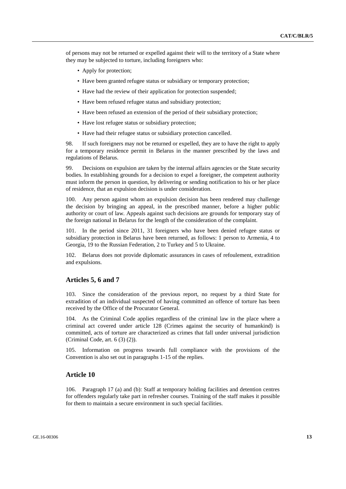of persons may not be returned or expelled against their will to the territory of a State where they may be subjected to torture, including foreigners who:

- Apply for protection;
- Have been granted refugee status or subsidiary or temporary protection;
- Have had the review of their application for protection suspended;
- Have been refused refugee status and subsidiary protection;
- Have been refused an extension of the period of their subsidiary protection;
- Have lost refugee status or subsidiary protection;
- Have had their refugee status or subsidiary protection cancelled.

98. If such foreigners may not be returned or expelled, they are to have the right to apply for a temporary residence permit in Belarus in the manner prescribed by the laws and regulations of Belarus.

99. Decisions on expulsion are taken by the internal affairs agencies or the State security bodies. In establishing grounds for a decision to expel a foreigner, the competent authority must inform the person in question, by delivering or sending notification to his or her place of residence, that an expulsion decision is under consideration.

100. Any person against whom an expulsion decision has been rendered may challenge the decision by bringing an appeal, in the prescribed manner, before a higher public authority or court of law. Appeals against such decisions are grounds for temporary stay of the foreign national in Belarus for the length of the consideration of the complaint.

101. In the period since 2011, 31 foreigners who have been denied refugee status or subsidiary protection in Belarus have been returned, as follows: 1 person to Armenia, 4 to Georgia, 19 to the Russian Federation, 2 to Turkey and 5 to Ukraine.

102. Belarus does not provide diplomatic assurances in cases of refoulement, extradition and expulsions.

#### **Articles 5, 6 and 7**

103. Since the consideration of the previous report, no request by a third State for extradition of an individual suspected of having committed an offence of torture has been received by the Office of the Procurator General.

104. As the Criminal Code applies regardless of the criminal law in the place where a criminal act covered under article 128 (Crimes against the security of humankind) is committed, acts of torture are characterized as crimes that fall under universal jurisdiction (Criminal Code, art. 6 (3) (2)).

105. Information on progress towards full compliance with the provisions of the Convention is also set out in paragraphs 1-15 of the replies.

#### **Article 10**

106. Paragraph 17 (a) and (b): Staff at temporary holding facilities and detention centres for offenders regularly take part in refresher courses. Training of the staff makes it possible for them to maintain a secure environment in such special facilities.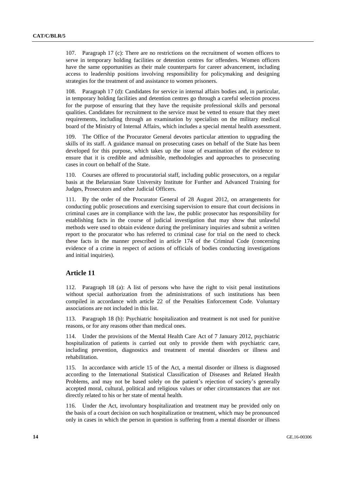107. Paragraph 17 (c): There are no restrictions on the recruitment of women officers to serve in temporary holding facilities or detention centres for offenders. Women officers have the same opportunities as their male counterparts for career advancement, including access to leadership positions involving responsibility for policymaking and designing strategies for the treatment of and assistance to women prisoners.

108. Paragraph 17 (d): Candidates for service in internal affairs bodies and, in particular, in temporary holding facilities and detention centres go through a careful selection process for the purpose of ensuring that they have the requisite professional skills and personal qualities. Candidates for recruitment to the service must be vetted to ensure that they meet requirements, including through an examination by specialists on the military medical board of the Ministry of Internal Affairs, which includes a special mental health assessment.

109. The Office of the Procurator General devotes particular attention to upgrading the skills of its staff. A guidance manual on prosecuting cases on behalf of the State has been developed for this purpose, which takes up the issue of examination of the evidence to ensure that it is credible and admissible, methodologies and approaches to prosecuting cases in court on behalf of the State.

110. Courses are offered to procuratorial staff, including public prosecutors, on a regular basis at the Belarusian State University Institute for Further and Advanced Training for Judges, Prosecutors and other Judicial Officers.

111. By the order of the Procurator General of 28 August 2012, on arrangements for conducting public prosecutions and exercising supervision to ensure that court decisions in criminal cases are in compliance with the law, the public prosecutor has responsibility for establishing facts in the course of judicial investigation that may show that unlawful methods were used to obtain evidence during the preliminary inquiries and submit a written report to the procurator who has referred to criminal case for trial on the need to check these facts in the manner prescribed in article 174 of the Criminal Code (concerning evidence of a crime in respect of actions of officials of bodies conducting investigations and initial inquiries).

#### **Article 11**

112. Paragraph 18 (a): A list of persons who have the right to visit penal institutions without special authorization from the administrations of such institutions has been compiled in accordance with article 22 of the Penalties Enforcement Code. Voluntary associations are not included in this list.

113. Paragraph 18 (b): Psychiatric hospitalization and treatment is not used for punitive reasons, or for any reasons other than medical ones.

114. Under the provisions of the Mental Health Care Act of 7 January 2012, psychiatric hospitalization of patients is carried out only to provide them with psychiatric care, including prevention, diagnostics and treatment of mental disorders or illness and rehabilitation.

115. In accordance with article 15 of the Act, a mental disorder or illness is diagnosed according to the International Statistical Classification of Diseases and Related Health Problems, and may not be based solely on the patient's rejection of society's generally accepted moral, cultural, political and religious values or other circumstances that are not directly related to his or her state of mental health.

116. Under the Act, involuntary hospitalization and treatment may be provided only on the basis of a court decision on such hospitalization or treatment, which may be pronounced only in cases in which the person in question is suffering from a mental disorder or illness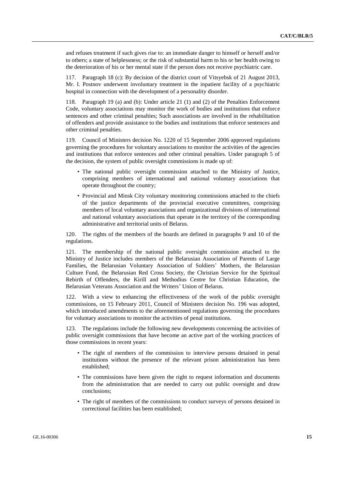and refuses treatment if such gives rise to: an immediate danger to himself or herself and/or to others; a state of helplessness; or the risk of substantial harm to his or her health owing to the deterioration of his or her mental state if the person does not receive psychiatric care.

117. Paragraph 18 (c): By decision of the district court of Vitsyebsk of 21 August 2013, Mr. I. Postnov underwent involuntary treatment in the inpatient facility of a psychiatric hospital in connection with the development of a personality disorder.

118. Paragraph 19 (a) and (b): Under article 21 (1) and (2) of the Penalties Enforcement Code, voluntary associations may monitor the work of bodies and institutions that enforce sentences and other criminal penalties; Such associations are involved in the rehabilitation of offenders and provide assistance to the bodies and institutions that enforce sentences and other criminal penalties.

119. Council of Ministers decision No. 1220 of 15 September 2006 approved regulations governing the procedures for voluntary associations to monitor the activities of the agencies and institutions that enforce sentences and other criminal penalties. Under paragraph 5 of the decision, the system of public oversight commissions is made up of:

- The national public oversight commission attached to the Ministry of Justice, comprising members of international and national voluntary associations that operate throughout the country;
- Provincial and Minsk City voluntary monitoring commissions attached to the chiefs of the justice departments of the provincial executive committees, comprising members of local voluntary associations and organizational divisions of international and national voluntary associations that operate in the territory of the corresponding administrative and territorial units of Belarus.

120. The rights of the members of the boards are defined in paragraphs 9 and 10 of the regulations.

121. The membership of the national public oversight commission attached to the Ministry of Justice includes members of the Belarusian Association of Parents of Large Families, the Belarusian Voluntary Association of Soldiers' Mothers, the Belarusian Culture Fund, the Belarusian Red Cross Society, the Christian Service for the Spiritual Rebirth of Offenders, the Kirill and Methodius Centre for Christian Education, the Belarusian Veterans Association and the Writers' Union of Belarus.

122. With a view to enhancing the effectiveness of the work of the public oversight commissions, on 15 February 2011, Council of Ministers decision No. 196 was adopted, which introduced amendments to the aforementioned regulations governing the procedures for voluntary associations to monitor the activities of penal institutions.

123. The regulations include the following new developments concerning the activities of public oversight commissions that have become an active part of the working practices of those commissions in recent years:

- The right of members of the commission to interview persons detained in penal institutions without the presence of the relevant prison administration has been established;
- The commissions have been given the right to request information and documents from the administration that are needed to carry out public oversight and draw conclusions;
- The right of members of the commissions to conduct surveys of persons detained in correctional facilities has been established;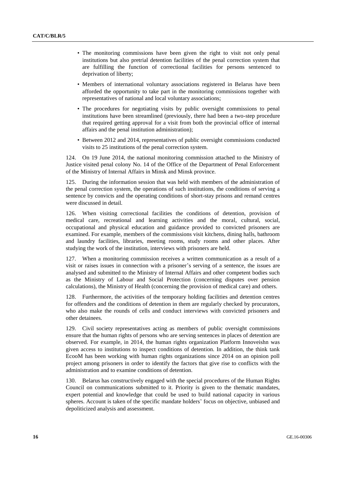- The monitoring commissions have been given the right to visit not only penal institutions but also pretrial detention facilities of the penal correction system that are fulfilling the function of correctional facilities for persons sentenced to deprivation of liberty;
- Members of international voluntary associations registered in Belarus have been afforded the opportunity to take part in the monitoring commissions together with representatives of national and local voluntary associations;
- The procedures for negotiating visits by public oversight commissions to penal institutions have been streamlined (previously, there had been a two-step procedure that required getting approval for a visit from both the provincial office of internal affairs and the penal institution administration);
- Between 2012 and 2014, representatives of public oversight commissions conducted visits to 25 institutions of the penal correction system.

124. On 19 June 2014, the national monitoring commission attached to the Ministry of Justice visited penal colony No. 14 of the Office of the Department of Penal Enforcement of the Ministry of Internal Affairs in Minsk and Minsk province.

125. During the information session that was held with members of the administration of the penal correction system, the operations of such institutions, the conditions of serving a sentence by convicts and the operating conditions of short-stay prisons and remand centres were discussed in detail.

126. When visiting correctional facilities the conditions of detention, provision of medical care, recreational and learning activities and the moral, cultural, social, occupational and physical education and guidance provided to convicted prisoners are examined. For example, members of the commissions visit kitchens, dining halls, bathroom and laundry facilities, libraries, meeting rooms, study rooms and other places. After studying the work of the institution, interviews with prisoners are held.

127. When a monitoring commission receives a written communication as a result of a visit or raises issues in connection with a prisoner's serving of a sentence, the issues are analysed and submitted to the Ministry of Internal Affairs and other competent bodies such as the Ministry of Labour and Social Protection (concerning disputes over pension calculations), the Ministry of Health (concerning the provision of medical care) and others.

128. Furthermore, the activities of the temporary holding facilities and detention centres for offenders and the conditions of detention in them are regularly checked by procurators, who also make the rounds of cells and conduct interviews with convicted prisoners and other detainees.

129. Civil society representatives acting as members of public oversight commissions ensure that the human rights of persons who are serving sentences in places of detention are observed. For example, in 2014, the human rights organization Platform Innoveishn was given access to institutions to inspect conditions of detention. In addition, the think tank EcooM has been working with human rights organizations since 2014 on an opinion poll project among prisoners in order to identify the factors that give rise to conflicts with the administration and to examine conditions of detention.

130. Belarus has constructively engaged with the special procedures of the Human Rights Council on communications submitted to it. Priority is given to the thematic mandates, expert potential and knowledge that could be used to build national capacity in various spheres. Account is taken of the specific mandate holders' focus on objective, unbiased and depoliticized analysis and assessment.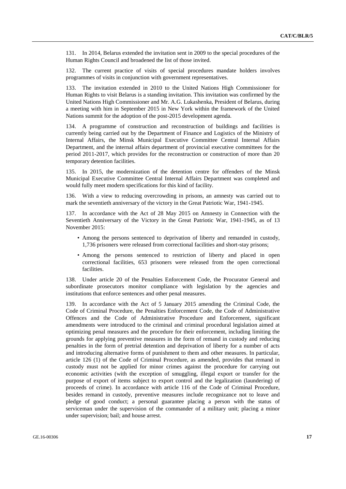131. In 2014, Belarus extended the invitation sent in 2009 to the special procedures of the Human Rights Council and broadened the list of those invited.

132. The current practice of visits of special procedures mandate holders involves programmes of visits in conjunction with government representatives.

133. The invitation extended in 2010 to the United Nations High Commissioner for Human Rights to visit Belarus is a standing invitation. This invitation was confirmed by the United Nations High Commissioner and Mr. A.G. Lukashenka, President of Belarus, during a meeting with him in September 2015 in New York within the framework of the United Nations summit for the adoption of the post-2015 development agenda.

134. A programme of construction and reconstruction of buildings and facilities is currently being carried out by the Department of Finance and Logistics of the Ministry of Internal Affairs, the Minsk Municipal Executive Committee Central Internal Affairs Department, and the internal affairs department of provincial executive committees for the period 2011-2017, which provides for the reconstruction or construction of more than 20 temporary detention facilities.

135. In 2015, the modernization of the detention centre for offenders of the Minsk Municipal Executive Committee Central Internal Affairs Department was completed and would fully meet modern specifications for this kind of facility.

136. With a view to reducing overcrowding in prisons, an amnesty was carried out to mark the seventieth anniversary of the victory in the Great Patriotic War, 1941-1945.

137. In accordance with the Act of 28 May 2015 on Amnesty in Connection with the Seventieth Anniversary of the Victory in the Great Patriotic War, 1941-1945, as of 13 November 2015:

- Among the persons sentenced to deprivation of liberty and remanded in custody, 1,736 prisoners were released from correctional facilities and short-stay prisons;
- Among the persons sentenced to restriction of liberty and placed in open correctional facilities, 653 prisoners were released from the open correctional **facilities**

138. Under article 20 of the Penalties Enforcement Code, the Procurator General and subordinate prosecutors monitor compliance with legislation by the agencies and institutions that enforce sentences and other penal measures.

139. In accordance with the Act of 5 January 2015 amending the Criminal Code, the Code of Criminal Procedure, the Penalties Enforcement Code, the Code of Administrative Offences and the Code of Administrative Procedure and Enforcement, significant amendments were introduced to the criminal and criminal procedural legislation aimed at optimizing penal measures and the procedure for their enforcement, including limiting the grounds for applying preventive measures in the form of remand in custody and reducing penalties in the form of pretrial detention and deprivation of liberty for a number of acts and introducing alternative forms of punishment to them and other measures. In particular, article 126 (1) of the Code of Criminal Procedure, as amended, provides that remand in custody must not be applied for minor crimes against the procedure for carrying out economic activities (with the exception of smuggling, illegal export or transfer for the purpose of export of items subject to export control and the legalization (laundering) of proceeds of crime). In accordance with article 116 of the Code of Criminal Procedure, besides remand in custody, preventive measures include recognizance not to leave and pledge of good conduct; a personal guarantee placing a person with the status of serviceman under the supervision of the commander of a military unit; placing a minor under supervision; bail; and house arrest.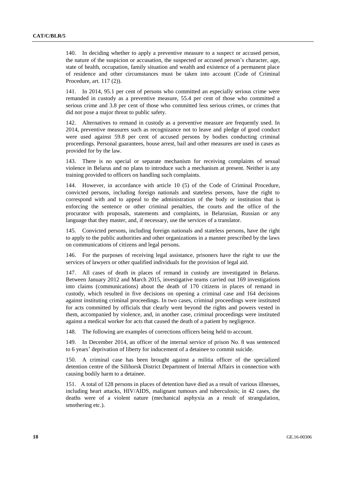140. In deciding whether to apply a preventive measure to a suspect or accused person, the nature of the suspicion or accusation, the suspected or accused person's character, age, state of health, occupation, family situation and wealth and existence of a permanent place of residence and other circumstances must be taken into account (Code of Criminal Procedure, art. 117 (2)).

141. In 2014, 95.1 per cent of persons who committed an especially serious crime were remanded in custody as a preventive measure, 55.4 per cent of those who committed a serious crime and 3.8 per cent of those who committed less serious crimes, or crimes that did not pose a major threat to public safety.

142. Alternatives to remand in custody as a preventive measure are frequently used. In 2014, preventive measures such as recognizance not to leave and pledge of good conduct were used against 59.8 per cent of accused persons by bodies conducting criminal proceedings. Personal guarantees, house arrest, bail and other measures are used in cases as provided for by the law.

143. There is no special or separate mechanism for receiving complaints of sexual violence in Belarus and no plans to introduce such a mechanism at present. Neither is any training provided to officers on handling such complaints.

144. However, in accordance with article 10 (5) of the Code of Criminal Procedure, convicted persons, including foreign nationals and stateless persons, have the right to correspond with and to appeal to the administration of the body or institution that is enforcing the sentence or other criminal penalties, the courts and the office of the procurator with proposals, statements and complaints, in Belarusian, Russian or any language that they master, and, if necessary, use the services of a translator.

145. Convicted persons, including foreign nationals and stateless persons, have the right to apply to the public authorities and other organizations in a manner prescribed by the laws on communications of citizens and legal persons.

146. For the purposes of receiving legal assistance, prisoners have the right to use the services of lawyers or other qualified individuals for the provision of legal aid.

147. All cases of death in places of remand in custody are investigated in Belarus. Between January 2012 and March 2015, investigative teams carried out 169 investigations into claims (communications) about the death of 170 citizens in places of remand in custody, which resulted in five decisions on opening a criminal case and 164 decisions against instituting criminal proceedings. In two cases, criminal proceedings were instituted for acts committed by officials that clearly went beyond the rights and powers vested in them, accompanied by violence, and, in another case, criminal proceedings were instituted against a medical worker for acts that caused the death of a patient by negligence.

148. The following are examples of corrections officers being held to account.

149. In December 2014, an officer of the internal service of prison No. 8 was sentenced to 6 years' deprivation of liberty for inducement of a detainee to commit suicide.

150. A criminal case has been brought against a militia officer of the specialized detention centre of the Silihorsk District Department of Internal Affairs in connection with causing bodily harm to a detainee.

151. A total of 128 persons in places of detention have died as a result of various illnesses, including heart attacks, HIV/AIDS, malignant tumours and tuberculosis; in 42 cases, the deaths were of a violent nature (mechanical asphyxia as a result of strangulation, smothering etc.).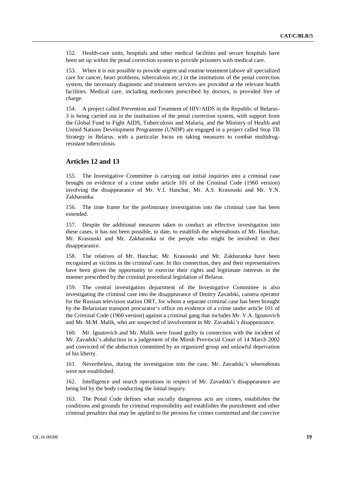152. Health-care units, hospitals and other medical facilities and secure hospitals have been set up within the penal correction system to provide prisoners with medical care.

153. When it is not possible to provide urgent and routine treatment (above all specialized care for cancer, heart problems, tuberculosis etc.) in the institutions of the penal correction system, the necessary diagnostic and treatment services are provided at the relevant health facilities. Medical care, including medicines prescribed by doctors, is provided free of charge.

154. A project called Prevention and Treatment of HIV/AIDS in the Republic of Belarus-3 is being carried out in the institutions of the penal correction system, with support from the Global Fund to Fight AIDS, Tuberculosis and Malaria, and the Ministry of Health and United Nations Development Programme (UNDP) are engaged in a project called Stop TB Strategy in Belarus, with a particular focus on taking measures to combat multidrugresistant tuberculosis.

#### **Articles 12 and 13**

155. The Investigative Committee is carrying out initial inquiries into a criminal case brought on evidence of a crime under article 101 of the Criminal Code (1960 version) involving the disappearance of Mr. V.I. Hanchar, Mr. A.S. Krasouski and Mr. Y.N. Zakharanka.

156. The time frame for the preliminary investigation into the criminal case has been extended.

157. Despite the additional measures taken to conduct an effective investigation into these cases, it has not been possible, to date, to establish the whereabouts of Mr. Hanchar, Mr. Krasouski and Mr. Zakharanka or the people who might be involved in their disappearance.

158. The relatives of Mr. Hanchar, Mr. Krasouski and Mr. Zakharanka have been recognized as victims in the criminal case. In this connection, they and their representatives have been given the opportunity to exercise their rights and legitimate interests in the manner prescribed by the criminal procedural legislation of Belarus.

159. The central investigation department of the Investigative Committee is also investigating the criminal case into the disappearance of Dmitry Zavadski, camera operator for the Russian television station ORT, for whom a separate criminal case has been brought by the Belarusian transport procurator's office on evidence of a crime under article 101 of the Criminal Code (1960 version) against a criminal gang that includes Mr. V.A. Ignatovich and Mr. M.M. Malik, who are suspected of involvement in Mr. Zavadski's disappearance.

160. Mr. Ignatovich and Mr. Malik were found guilty in connection with the incident of Mr. Zavadski's abduction in a judgement of the Minsk Provincial Court of 14 March 2002 and convicted of the abduction committed by an organized group and unlawful deprivation of his liberty.

161. Nevertheless, during the investigation into the case, Mr. Zavadski's whereabouts were not established.

162. Intelligence and search operations in respect of Mr. Zavadski's disappearance are being led by the body conducting the initial inquiry.

163. The Penal Code defines what socially dangerous acts are crimes, establishes the conditions and grounds for criminal responsibility and establishes the punishment and other criminal penalties that may be applied to the persons for crimes committed and the coercive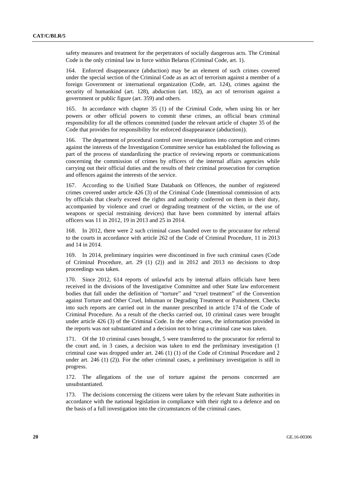safety measures and treatment for the perpetrators of socially dangerous acts. The Criminal Code is the only criminal law in force within Belarus (Criminal Code, art. 1).

164. Enforced disappearance (abduction) may be an element of such crimes covered under the special section of the Criminal Code as an act of terrorism against a member of a foreign Government or international organization (Code, art. 124), crimes against the security of humankind (art. 128), abduction (art. 182), an act of terrorism against a government or public figure (art. 359) and others.

165. In accordance with chapter 35 (1) of the Criminal Code, when using his or her powers or other official powers to commit these crimes, an official bears criminal responsibility for all the offences committed (under the relevant article of chapter 35 of the Code that provides for responsibility for enforced disappearance (abduction)).

166. The department of procedural control over investigations into corruption and crimes against the interests of the Investigation Committee service has established the following as part of the process of standardizing the practice of reviewing reports or communications concerning the commission of crimes by officers of the internal affairs agencies while carrying out their official duties and the results of their criminal prosecution for corruption and offences against the interests of the service.

167. According to the Unified State Databank on Offences, the number of registered crimes covered under article 426 (3) of the Criminal Code (Intentional commission of acts by officials that clearly exceed the rights and authority conferred on them in their duty, accompanied by violence and cruel or degrading treatment of the victim, or the use of weapons or special restraining devices) that have been committed by internal affairs officers was 11 in 2012, 19 in 2013 and 25 in 2014.

168. In 2012, there were 2 such criminal cases handed over to the procurator for referral to the courts in accordance with article 262 of the Code of Criminal Procedure, 11 in 2013 and 14 in 2014.

169. In 2014, preliminary inquiries were discontinued in five such criminal cases (Code of Criminal Procedure, art. 29 (1) (2)) and in 2012 and 2013 no decisions to drop proceedings was taken.

170. Since 2012, 614 reports of unlawful acts by internal affairs officials have been received in the divisions of the Investigative Committee and other State law enforcement bodies that fall under the definition of "torture" and "cruel treatment" of the Convention against Torture and Other Cruel, Inhuman or Degrading Treatment or Punishment. Checks into such reports are carried out in the manner prescribed in article 174 of the Code of Criminal Procedure. As a result of the checks carried out, 10 criminal cases were brought under article 426 (3) of the Criminal Code. In the other cases, the information provided in the reports was not substantiated and a decision not to bring a criminal case was taken.

171. Of the 10 criminal cases brought, 5 were transferred to the procurator for referral to the court and, in 3 cases, a decision was taken to end the preliminary investigation (1 criminal case was dropped under art. 246 (1) (1) of the Code of Criminal Procedure and 2 under art. 246  $(1)$  (2)). For the other criminal cases, a preliminary investigation is still in progress.

172. The allegations of the use of torture against the persons concerned are unsubstantiated.

173. The decisions concerning the citizens were taken by the relevant State authorities in accordance with the national legislation in compliance with their right to a defence and on the basis of a full investigation into the circumstances of the criminal cases.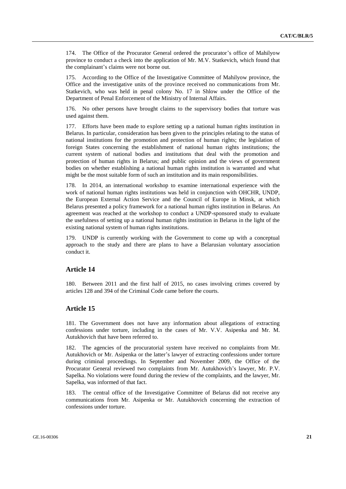174. The Office of the Procurator General ordered the procurator's office of Mahilyow province to conduct a check into the application of Mr. M.V. Statkevich, which found that the complainant's claims were not borne out.

175. According to the Office of the Investigative Committee of Mahilyow province, the Office and the investigative units of the province received no communications from Mr. Statkevich, who was held in penal colony No. 17 in Shlow under the Office of the Department of Penal Enforcement of the Ministry of Internal Affairs.

176. No other persons have brought claims to the supervisory bodies that torture was used against them.

177. Efforts have been made to explore setting up a national human rights institution in Belarus. In particular, consideration has been given to the principles relating to the status of national institutions for the promotion and protection of human rights; the legislation of foreign States concerning the establishment of national human rights institutions; the current system of national bodies and institutions that deal with the promotion and protection of human rights in Belarus; and public opinion and the views of government bodies on whether establishing a national human rights institution is warranted and what might be the most suitable form of such an institution and its main responsibilities.

178. In 2014, an international workshop to examine international experience with the work of national human rights institutions was held in conjunction with OHCHR, UNDP, the European External Action Service and the Council of Europe in Minsk, at which Belarus presented a policy framework for a national human rights institution in Belarus. An agreement was reached at the workshop to conduct a UNDP-sponsored study to evaluate the usefulness of setting up a national human rights institution in Belarus in the light of the existing national system of human rights institutions.

179. UNDP is currently working with the Government to come up with a conceptual approach to the study and there are plans to have a Belarusian voluntary association conduct it.

#### **Article 14**

180. Between 2011 and the first half of 2015, no cases involving crimes covered by articles 128 and 394 of the Criminal Code came before the courts.

#### **Article 15**

181. The Government does not have any information about allegations of extracting confessions under torture, including in the cases of Mr. V.V. Asipenka and Mr. M. Autukhovich that have been referred to.

182. The agencies of the procuratorial system have received no complaints from Mr. Autukhovich or Mr. Asipenka or the latter's lawyer of extracting confessions under torture during criminal proceedings. In September and November 2009, the Office of the Procurator General reviewed two complaints from Mr. Autukhovich's lawyer, Mr. P.V. Sapelka. No violations were found during the review of the complaints, and the lawyer, Mr. Sapelka, was informed of that fact.

183. The central office of the Investigative Committee of Belarus did not receive any communications from Mr. Asipenka or Mr. Autukhovich concerning the extraction of confessions under torture.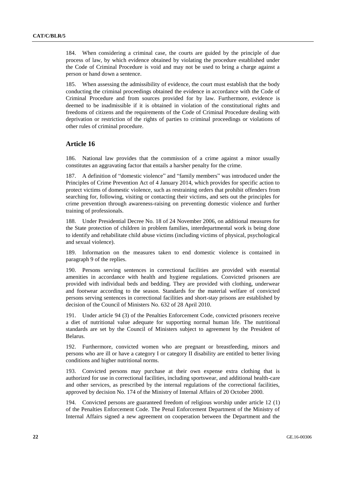184. When considering a criminal case, the courts are guided by the principle of due process of law, by which evidence obtained by violating the procedure established under the Code of Criminal Procedure is void and may not be used to bring a charge against a person or hand down a sentence.

When assessing the admissibility of evidence, the court must establish that the body conducting the criminal proceedings obtained the evidence in accordance with the Code of Criminal Procedure and from sources provided for by law. Furthermore, evidence is deemed to be inadmissible if it is obtained in violation of the constitutional rights and freedoms of citizens and the requirements of the Code of Criminal Procedure dealing with deprivation or restriction of the rights of parties to criminal proceedings or violations of other rules of criminal procedure.

#### **Article 16**

186. National law provides that the commission of a crime against a minor usually constitutes an aggravating factor that entails a harsher penalty for the crime.

187. A definition of "domestic violence" and "family members" was introduced under the Principles of Crime Prevention Act of 4 January 2014, which provides for specific action to protect victims of domestic violence, such as restraining orders that prohibit offenders from searching for, following, visiting or contacting their victims, and sets out the principles for crime prevention through awareness-raising on preventing domestic violence and further training of professionals.

188. Under Presidential Decree No. 18 of 24 November 2006, on additional measures for the State protection of children in problem families, interdepartmental work is being done to identify and rehabilitate child abuse victims (including victims of physical, psychological and sexual violence).

189. Information on the measures taken to end domestic violence is contained in paragraph 9 of the replies.

190. Persons serving sentences in correctional facilities are provided with essential amenities in accordance with health and hygiene regulations. Convicted prisoners are provided with individual beds and bedding. They are provided with clothing, underwear and footwear according to the season. Standards for the material welfare of convicted persons serving sentences in correctional facilities and short-stay prisons are established by decision of the Council of Ministers No. 632 of 28 April 2010.

191. Under article 94 (3) of the Penalties Enforcement Code, convicted prisoners receive a diet of nutritional value adequate for supporting normal human life. The nutritional standards are set by the Council of Ministers subject to agreement by the President of Belarus.

192. Furthermore, convicted women who are pregnant or breastfeeding, minors and persons who are ill or have a category I or category II disability are entitled to better living conditions and higher nutritional norms.

193. Convicted persons may purchase at their own expense extra clothing that is authorized for use in correctional facilities, including sportswear, and additional health-care and other services, as prescribed by the internal regulations of the correctional facilities, approved by decision No. 174 of the Ministry of Internal Affairs of 20 October 2000.

194. Convicted persons are guaranteed freedom of religious worship under article 12 (1) of the Penalties Enforcement Code. The Penal Enforcement Department of the Ministry of Internal Affairs signed a new agreement on cooperation between the Department and the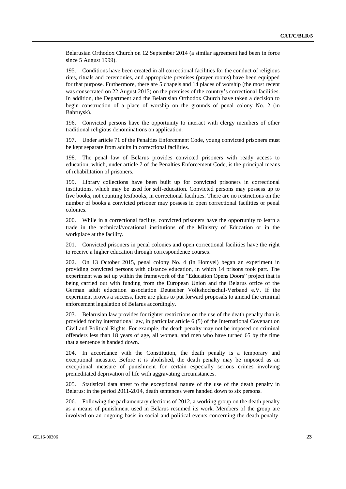Belarusian Orthodox Church on 12 September 2014 (a similar agreement had been in force since 5 August 1999).

195. Conditions have been created in all correctional facilities for the conduct of religious rites, rituals and ceremonies, and appropriate premises (prayer rooms) have been equipped for that purpose. Furthermore, there are 5 chapels and 14 places of worship (the most recent was consecrated on 22 August 2015) on the premises of the country's correctional facilities. In addition, the Department and the Belarusian Orthodox Church have taken a decision to begin construction of a place of worship on the grounds of penal colony No. 2 (in Babruysk).

196. Convicted persons have the opportunity to interact with clergy members of other traditional religious denominations on application.

197. Under article 71 of the Penalties Enforcement Code, young convicted prisoners must be kept separate from adults in correctional facilities.

198. The penal law of Belarus provides convicted prisoners with ready access to education, which, under article 7 of the Penalties Enforcement Code, is the principal means of rehabilitation of prisoners.

199. Library collections have been built up for convicted prisoners in correctional institutions, which may be used for self-education. Convicted persons may possess up to five books, not counting textbooks, in correctional facilities. There are no restrictions on the number of books a convicted prisoner may possess in open correctional facilities or penal colonies.

200. While in a correctional facility, convicted prisoners have the opportunity to learn a trade in the technical/vocational institutions of the Ministry of Education or in the workplace at the facility.

201. Convicted prisoners in penal colonies and open correctional facilities have the right to receive a higher education through correspondence courses.

202. On 13 October 2015, penal colony No. 4 (in Homyel) began an experiment in providing convicted persons with distance education, in which 14 prisons took part. The experiment was set up within the framework of the "Education Opens Doors" project that is being carried out with funding from the European Union and the Belarus office of the German adult education association Deutscher Volkshochschul-Verband e.V. If the experiment proves a success, there are plans to put forward proposals to amend the criminal enforcement legislation of Belarus accordingly.

203. Belarusian law provides for tighter restrictions on the use of the death penalty than is provided for by international law, in particular article 6 (5) of the International Covenant on Civil and Political Rights. For example, the death penalty may not be imposed on criminal offenders less than 18 years of age, all women, and men who have turned 65 by the time that a sentence is handed down.

204. In accordance with the Constitution, the death penalty is a temporary and exceptional measure. Before it is abolished, the death penalty may be imposed as an exceptional measure of punishment for certain especially serious crimes involving premeditated deprivation of life with aggravating circumstances.

205. Statistical data attest to the exceptional nature of the use of the death penalty in Belarus: in the period 2011-2014, death sentences were handed down to six persons.

206. Following the parliamentary elections of 2012, a working group on the death penalty as a means of punishment used in Belarus resumed its work. Members of the group are involved on an ongoing basis in social and political events concerning the death penalty.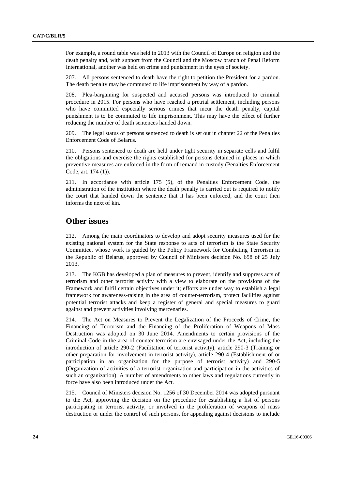For example, a round table was held in 2013 with the Council of Europe on religion and the death penalty and, with support from the Council and the Moscow branch of Penal Reform International, another was held on crime and punishment in the eyes of society.

207. All persons sentenced to death have the right to petition the President for a pardon. The death penalty may be commuted to life imprisonment by way of a pardon.

208. Plea-bargaining for suspected and accused persons was introduced to criminal procedure in 2015. For persons who have reached a pretrial settlement, including persons who have committed especially serious crimes that incur the death penalty, capital punishment is to be commuted to life imprisonment. This may have the effect of further reducing the number of death sentences handed down.

209. The legal status of persons sentenced to death is set out in chapter 22 of the Penalties Enforcement Code of Belarus.

210. Persons sentenced to death are held under tight security in separate cells and fulfil the obligations and exercise the rights established for persons detained in places in which preventive measures are enforced in the form of remand in custody (Penalties Enforcement Code, art. 174 (1)).

211. In accordance with article 175 (5), of the Penalties Enforcement Code, the administration of the institution where the death penalty is carried out is required to notify the court that handed down the sentence that it has been enforced, and the court then informs the next of kin.

### **Other issues**

212. Among the main coordinators to develop and adopt security measures used for the existing national system for the State response to acts of terrorism is the State Security Committee, whose work is guided by the Policy Framework for Combating Terrorism in the Republic of Belarus, approved by Council of Ministers decision No. 658 of 25 July 2013.

213. The KGB has developed a plan of measures to prevent, identify and suppress acts of terrorism and other terrorist activity with a view to elaborate on the provisions of the Framework and fulfil certain objectives under it; efforts are under way to establish a legal framework for awareness-raising in the area of counter-terrorism, protect facilities against potential terrorist attacks and keep a register of general and special measures to guard against and prevent activities involving mercenaries.

214. The Act on Measures to Prevent the Legalization of the Proceeds of Crime, the Financing of Terrorism and the Financing of the Proliferation of Weapons of Mass Destruction was adopted on 30 June 2014. Amendments to certain provisions of the Criminal Code in the area of counter-terrorism are envisaged under the Act, including the introduction of article 290-2 (Facilitation of terrorist activity), article 290-3 (Training or other preparation for involvement in terrorist activity), article 290-4 (Establishment of or participation in an organization for the purpose of terrorist activity) and 290-5 (Organization of activities of a terrorist organization and participation in the activities of such an organization). A number of amendments to other laws and regulations currently in force have also been introduced under the Act.

215. Council of Ministers decision No. 1256 of 30 December 2014 was adopted pursuant to the Act, approving the decision on the procedure for establishing a list of persons participating in terrorist activity, or involved in the proliferation of weapons of mass destruction or under the control of such persons, for appealing against decisions to include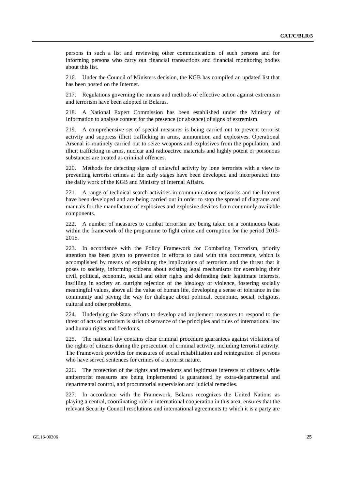persons in such a list and reviewing other communications of such persons and for informing persons who carry out financial transactions and financial monitoring bodies about this list.

216. Under the Council of Ministers decision, the KGB has compiled an updated list that has been posted on the Internet.

217. Regulations governing the means and methods of effective action against extremism and terrorism have been adopted in Belarus.

218. A National Expert Commission has been established under the Ministry of Information to analyse content for the presence (or absence) of signs of extremism.

219. A comprehensive set of special measures is being carried out to prevent terrorist activity and suppress illicit trafficking in arms, ammunition and explosives. Operational Arsenal is routinely carried out to seize weapons and explosives from the population, and illicit trafficking in arms, nuclear and radioactive materials and highly potent or poisonous substances are treated as criminal offences.

220. Methods for detecting signs of unlawful activity by lone terrorists with a view to preventing terrorist crimes at the early stages have been developed and incorporated into the daily work of the KGB and Ministry of Internal Affairs.

221. A range of technical search activities in communications networks and the Internet have been developed and are being carried out in order to stop the spread of diagrams and manuals for the manufacture of explosives and explosive devices from commonly available components.

222. A number of measures to combat terrorism are being taken on a continuous basis within the framework of the programme to fight crime and corruption for the period 2013- 2015.

223. In accordance with the Policy Framework for Combating Terrorism, priority attention has been given to prevention in efforts to deal with this occurrence, which is accomplished by means of explaining the implications of terrorism and the threat that it poses to society, informing citizens about existing legal mechanisms for exercising their civil, political, economic, social and other rights and defending their legitimate interests, instilling in society an outright rejection of the ideology of violence, fostering socially meaningful values, above all the value of human life, developing a sense of tolerance in the community and paving the way for dialogue about political, economic, social, religious, cultural and other problems.

224. Underlying the State efforts to develop and implement measures to respond to the threat of acts of terrorism is strict observance of the principles and rules of international law and human rights and freedoms.

225. The national law contains clear criminal procedure guarantees against violations of the rights of citizens during the prosecution of criminal activity, including terrorist activity. The Framework provides for measures of social rehabilitation and reintegration of persons who have served sentences for crimes of a terrorist nature.

226. The protection of the rights and freedoms and legitimate interests of citizens while antiterrorist measures are being implemented is guaranteed by extra-departmental and departmental control, and procuratorial supervision and judicial remedies.

227. In accordance with the Framework, Belarus recognizes the United Nations as playing a central, coordinating role in international cooperation in this area, ensures that the relevant Security Council resolutions and international agreements to which it is a party are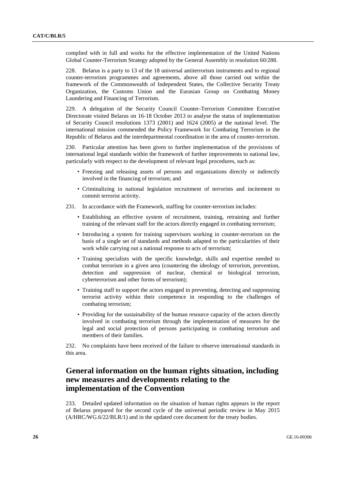complied with in full and works for the effective implementation of the United Nations Global Counter-Terrorism Strategy adopted by the General Assembly in resolution 60/288.

228. Belarus is a party to 13 of the 18 universal antiterrorism instruments and to regional counter-terrorism programmes and agreements, above all those carried out within the framework of the Commonwealth of Independent States, the Collective Security Treaty Organization, the Customs Union and the Eurasian Group on Combating Money Laundering and Financing of Terrorism.

229. A delegation of the Security Council Counter-Terrorism Committee Executive Directorate visited Belarus on 16-18 October 2013 to analyse the status of implementation of Security Council resolutions 1373 (2001) and 1624 (2005) at the national level. The international mission commended the Policy Framework for Combating Terrorism in the Republic of Belarus and the interdepartmental coordination in the area of counter-terrorism.

230. Particular attention has been given to further implementation of the provisions of international legal standards within the framework of further improvements to national law, particularly with respect to the development of relevant legal procedures, such as:

- Freezing and releasing assets of persons and organizations directly or indirectly involved in the financing of terrorism; and
- Criminalizing in national legislation recruitment of terrorists and incitement to commit terrorist activity.
- 231. In accordance with the Framework, staffing for counter-terrorism includes:
	- Establishing an effective system of recruitment, training, retraining and further training of the relevant staff for the actors directly engaged in combating terrorism;
	- Introducing a system for training supervisors working in counter-terrorism on the basis of a single set of standards and methods adapted to the particularities of their work while carrying out a national response to acts of terrorism;
	- Training specialists with the specific knowledge, skills and expertise needed to combat terrorism in a given area (countering the ideology of terrorism, prevention, detection and suppression of nuclear, chemical or biological terrorism, cyberterrorism and other forms of terrorism);
	- Training staff to support the actors engaged in preventing, detecting and suppressing terrorist activity within their competence in responding to the challenges of combating terrorism;
	- Providing for the sustainability of the human resource capacity of the actors directly involved in combating terrorism through the implementation of measures for the legal and social protection of persons participating in combating terrorism and members of their families.

232. No complaints have been received of the failure to observe international standards in this area.

### **General information on the human rights situation, including new measures and developments relating to the implementation of the Convention**

233. Detailed updated information on the situation of human rights appears in the report of Belarus prepared for the second cycle of the universal periodic review in May 2015 (A/HRC/WG.6/22/BLR/1) and in the updated core document for the treaty bodies.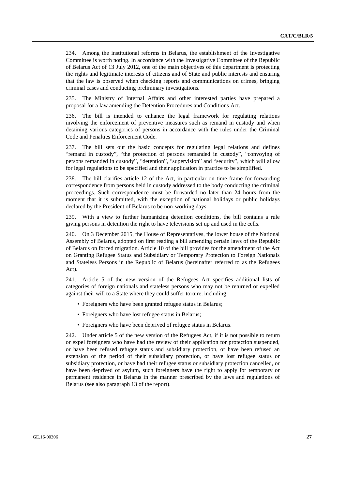234. Among the institutional reforms in Belarus, the establishment of the Investigative Committee is worth noting. In accordance with the Investigative Committee of the Republic of Belarus Act of 13 July 2012, one of the main objectives of this department is protecting the rights and legitimate interests of citizens and of State and public interests and ensuring that the law is observed when checking reports and communications on crimes, bringing criminal cases and conducting preliminary investigations.

235. The Ministry of Internal Affairs and other interested parties have prepared a proposal for a law amending the Detention Procedures and Conditions Act.

236. The bill is intended to enhance the legal framework for regulating relations involving the enforcement of preventive measures such as remand in custody and when detaining various categories of persons in accordance with the rules under the Criminal Code and Penalties Enforcement Code.

237. The bill sets out the basic concepts for regulating legal relations and defines "remand in custody", "the protection of persons remanded in custody", "convoying of persons remanded in custody", "detention", "supervision" and "security", which will allow for legal regulations to be specified and their application in practice to be simplified.

238. The bill clarifies article 12 of the Act, in particular on time frame for forwarding correspondence from persons held in custody addressed to the body conducting the criminal proceedings. Such correspondence must be forwarded no later than 24 hours from the moment that it is submitted, with the exception of national holidays or public holidays declared by the President of Belarus to be non-working days.

239. With a view to further humanizing detention conditions, the bill contains a rule giving persons in detention the right to have televisions set up and used in the cells.

240. On 3 December 2015, the House of Representatives, the lower house of the National Assembly of Belarus, adopted on first reading a bill amending certain laws of the Republic of Belarus on forced migration. Article 10 of the bill provides for the amendment of the Act on Granting Refugee Status and Subsidiary or Temporary Protection to Foreign Nationals and Stateless Persons in the Republic of Belarus (hereinafter referred to as the Refugees Act).

241. Article 5 of the new version of the Refugees Act specifies additional lists of categories of foreign nationals and stateless persons who may not be returned or expelled against their will to a State where they could suffer torture, including:

- Foreigners who have been granted refugee status in Belarus;
- Foreigners who have lost refugee status in Belarus;
- Foreigners who have been deprived of refugee status in Belarus.

242. Under article 5 of the new version of the Refugees Act, if it is not possible to return or expel foreigners who have had the review of their application for protection suspended, or have been refused refugee status and subsidiary protection, or have been refused an extension of the period of their subsidiary protection, or have lost refugee status or subsidiary protection, or have had their refugee status or subsidiary protection cancelled, or have been deprived of asylum, such foreigners have the right to apply for temporary or permanent residence in Belarus in the manner prescribed by the laws and regulations of Belarus (see also paragraph 13 of the report).